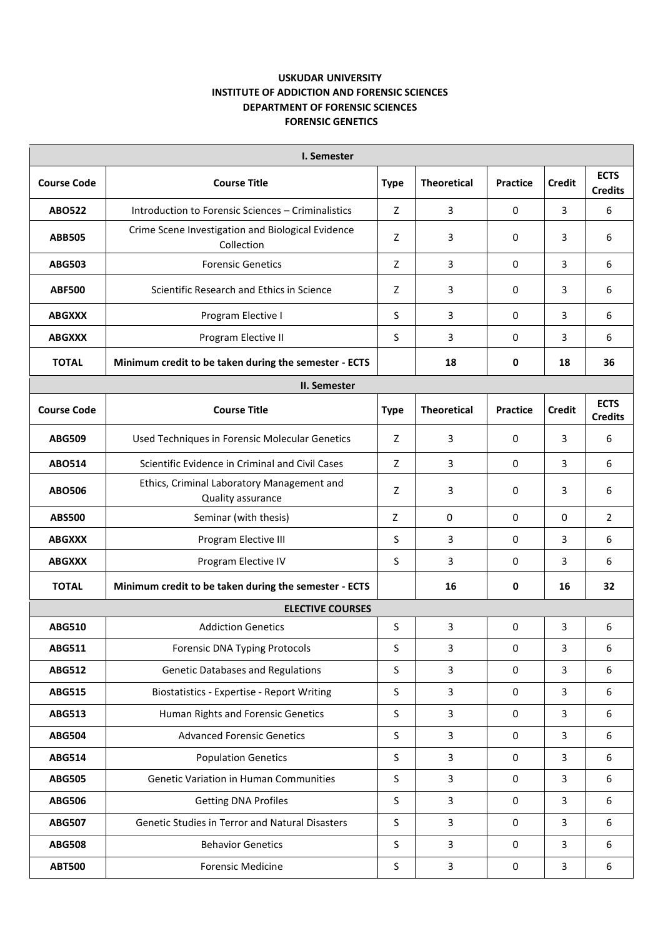## **USKUDAR UNIVERSITY INSTITUTE OF ADDICTION AND FORENSIC SCIENCES DEPARTMENT OF FORENSIC SCIENCES FORENSIC GENETICS**

| <b>I. Semester</b> |                                                                 |             |                    |                 |               |                               |  |  |  |  |
|--------------------|-----------------------------------------------------------------|-------------|--------------------|-----------------|---------------|-------------------------------|--|--|--|--|
| <b>Course Code</b> | <b>Course Title</b>                                             | <b>Type</b> | <b>Theoretical</b> | Practice        | <b>Credit</b> | <b>ECTS</b><br><b>Credits</b> |  |  |  |  |
| <b>ABO522</b>      | Introduction to Forensic Sciences - Criminalistics              | Z           | 3                  | 0               | 3             | 6                             |  |  |  |  |
| <b>ABB505</b>      | Crime Scene Investigation and Biological Evidence<br>Collection | Z           | 3                  | 0               | 3             | 6                             |  |  |  |  |
| <b>ABG503</b>      | <b>Forensic Genetics</b>                                        | Z           | 3                  | 0               | 3             | 6                             |  |  |  |  |
| <b>ABF500</b>      | Scientific Research and Ethics in Science                       | Z           | 3                  | 0               | 3             | 6                             |  |  |  |  |
| <b>ABGXXX</b>      | Program Elective I                                              | S           | 3                  | 0               | 3             | 6                             |  |  |  |  |
| <b>ABGXXX</b>      | Program Elective II                                             | S           | 3                  | 0               | 3             | 6                             |  |  |  |  |
| <b>TOTAL</b>       | Minimum credit to be taken during the semester - ECTS           |             | 18                 | 0               | 18            | 36                            |  |  |  |  |
|                    | II. Semester                                                    |             |                    |                 |               |                               |  |  |  |  |
| <b>Course Code</b> | <b>Course Title</b>                                             | <b>Type</b> | <b>Theoretical</b> | <b>Practice</b> | <b>Credit</b> | <b>ECTS</b><br><b>Credits</b> |  |  |  |  |
| <b>ABG509</b>      | Used Techniques in Forensic Molecular Genetics                  | Z           | 3                  | 0               | 3             | 6                             |  |  |  |  |
| <b>ABO514</b>      | Scientific Evidence in Criminal and Civil Cases                 | Z           | 3                  | 0               | 3             | 6                             |  |  |  |  |
| <b>ABO506</b>      | Ethics, Criminal Laboratory Management and<br>Quality assurance | Z           | 3                  | 0               | 3             | 6                             |  |  |  |  |
| <b>ABS500</b>      | Seminar (with thesis)                                           | Z           | 0                  | 0               | 0             | $\overline{2}$                |  |  |  |  |
| <b>ABGXXX</b>      | Program Elective III                                            | S           | 3                  | 0               | 3             | 6                             |  |  |  |  |
| <b>ABGXXX</b>      | Program Elective IV                                             | S           | 3                  | 0               | 3             | 6                             |  |  |  |  |
| <b>TOTAL</b>       | Minimum credit to be taken during the semester - ECTS           |             | 16                 | 0               | 16            | 32                            |  |  |  |  |
|                    | <b>ELECTIVE COURSES</b>                                         |             |                    |                 |               |                               |  |  |  |  |
| <b>ABG510</b>      | <b>Addiction Genetics</b>                                       | S           | 3                  | 0               | 3             | 6                             |  |  |  |  |
| <b>ABG511</b>      | <b>Forensic DNA Typing Protocols</b>                            | S           | 3                  | 0               | 3             | 6                             |  |  |  |  |
| <b>ABG512</b>      | <b>Genetic Databases and Regulations</b>                        | S           | 3                  | 0               | 3             | 6                             |  |  |  |  |
| <b>ABG515</b>      | <b>Biostatistics - Expertise - Report Writing</b>               | S           | 3                  | 0               | 3             | 6                             |  |  |  |  |
| <b>ABG513</b>      | Human Rights and Forensic Genetics                              | S           | $\overline{3}$     | 0               | 3             | 6                             |  |  |  |  |
| <b>ABG504</b>      | <b>Advanced Forensic Genetics</b>                               | S           | 3                  | 0               | 3             | 6                             |  |  |  |  |
| <b>ABG514</b>      | <b>Population Genetics</b>                                      | S           | 3                  | 0               | 3             | 6                             |  |  |  |  |
| <b>ABG505</b>      | <b>Genetic Variation in Human Communities</b>                   | S           | 3                  | $\mathbf 0$     | 3             | 6                             |  |  |  |  |
| <b>ABG506</b>      | <b>Getting DNA Profiles</b>                                     | S           | 3                  | 0               | 3             | 6                             |  |  |  |  |
| <b>ABG507</b>      | Genetic Studies in Terror and Natural Disasters                 | S           | 3                  | 0               | 3             | 6                             |  |  |  |  |
| <b>ABG508</b>      | <b>Behavior Genetics</b>                                        | S           | 3                  | 0               | 3             | 6                             |  |  |  |  |
| <b>ABT500</b>      | <b>Forensic Medicine</b>                                        | S           | 3                  | $\pmb{0}$       | 3             | 6                             |  |  |  |  |